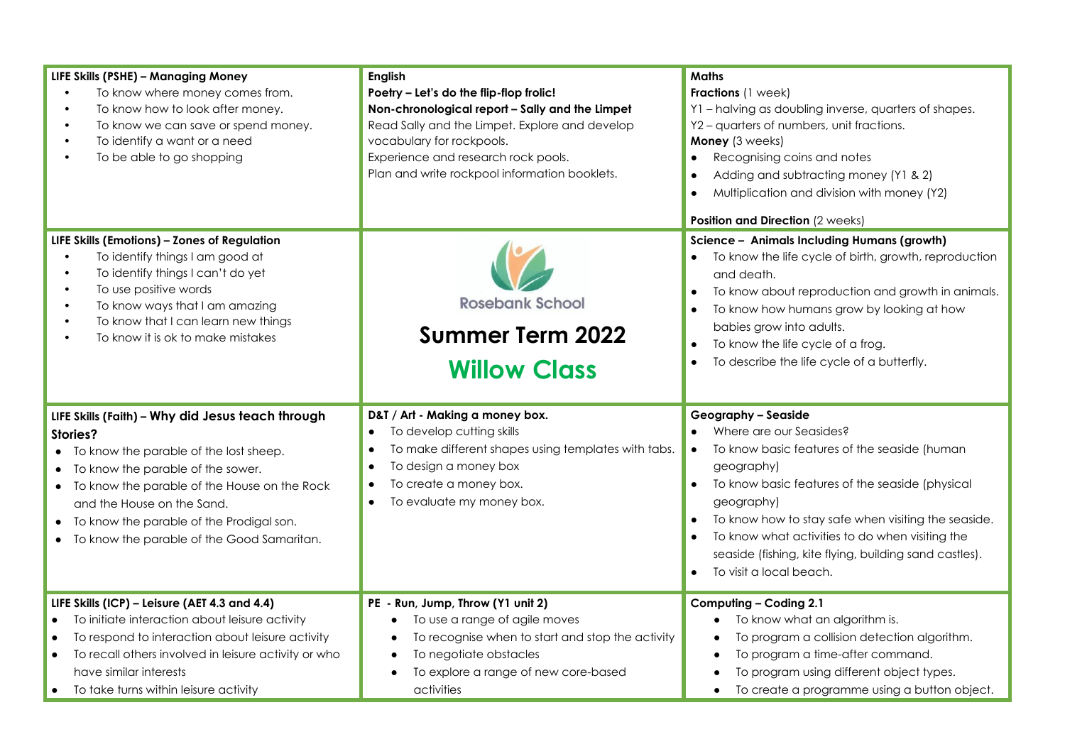| LIFE Skills (PSHE) - Managing Money<br>To know where money comes from.<br>$\bullet$<br>To know how to look after money.<br>$\bullet$<br>To know we can save or spend money.<br>$\bullet$<br>To identify a want or a need<br>$\bullet$<br>To be able to go shopping                                                                        | <b>English</b><br>Poetry - Let's do the flip-flop frolic!<br>Non-chronological report - Sally and the Limpet<br>Read Sally and the Limpet. Explore and develop<br>vocabulary for rockpools.<br>Experience and research rock pools.<br>Plan and write rockpool information booklets. | <b>Maths</b><br>Fractions (1 week)<br>Y1 - halving as doubling inverse, quarters of shapes.<br>Y2 - quarters of numbers, unit fractions.<br>Money (3 weeks)<br>Recognising coins and notes<br>Adding and subtracting money (Y1 & 2)<br>Multiplication and division with money (Y2)<br>Position and Direction (2 weeks)                                                                           |
|-------------------------------------------------------------------------------------------------------------------------------------------------------------------------------------------------------------------------------------------------------------------------------------------------------------------------------------------|-------------------------------------------------------------------------------------------------------------------------------------------------------------------------------------------------------------------------------------------------------------------------------------|--------------------------------------------------------------------------------------------------------------------------------------------------------------------------------------------------------------------------------------------------------------------------------------------------------------------------------------------------------------------------------------------------|
| LIFE Skills (Emotions) - Zones of Regulation<br>To identify things I am good at<br>$\bullet$<br>To identify things I can't do yet<br>$\bullet$<br>To use positive words<br>$\bullet$<br>To know ways that I am amazing<br>$\bullet$<br>To know that I can learn new things<br>$\bullet$<br>To know it is ok to make mistakes<br>$\bullet$ | <b>Rosebank School</b><br><b>Summer Term 2022</b><br><b>Willow Class</b>                                                                                                                                                                                                            | Science - Animals Including Humans (growth)<br>To know the life cycle of birth, growth, reproduction<br>and death.<br>To know about reproduction and growth in animals.<br>To know how humans grow by looking at how<br>babies grow into adults.<br>To know the life cycle of a frog.<br>To describe the life cycle of a butterfly.                                                              |
| LIFE Skills (Faith) - Why did Jesus teach through<br>Stories?<br>• To know the parable of the lost sheep.<br>• To know the parable of the sower.<br>• To know the parable of the House on the Rock<br>and the House on the Sand.<br>• To know the parable of the Prodigal son.<br>• To know the parable of the Good Samaritan.            | D&T / Art - Making a money box.<br>To develop cutting skills<br>To make different shapes using templates with tabs.<br>To design a money box<br>To create a money box.<br>To evaluate my money box.<br>$\bullet$                                                                    | <b>Geography - Seaside</b><br>Where are our Seasides?<br>To know basic features of the seaside (human<br>geography)<br>To know basic features of the seaside (physical<br>$\bullet$<br>geography)<br>To know how to stay safe when visiting the seaside.<br>To know what activities to do when visiting the<br>seaside (fishing, kite flying, building sand castles).<br>To visit a local beach. |
| LIFE Skills (ICP) - Leisure (AET 4.3 and 4.4)<br>To initiate interaction about leisure activity<br>To respond to interaction about leisure activity<br>To recall others involved in leisure activity or who<br>$\bullet$<br>have similar interests<br>• To take turns within leisure activity                                             | PE - Run, Jump, Throw (Y1 unit 2)<br>To use a range of agile moves<br>To recognise when to start and stop the activity<br>To negotiate obstacles<br>To explore a range of new core-based<br>activities                                                                              | Computing - Coding 2.1<br>To know what an algorithm is.<br>To program a collision detection algorithm.<br>To program a time-after command.<br>To program using different object types.<br>To create a programme using a button object.<br>$\bullet$                                                                                                                                              |